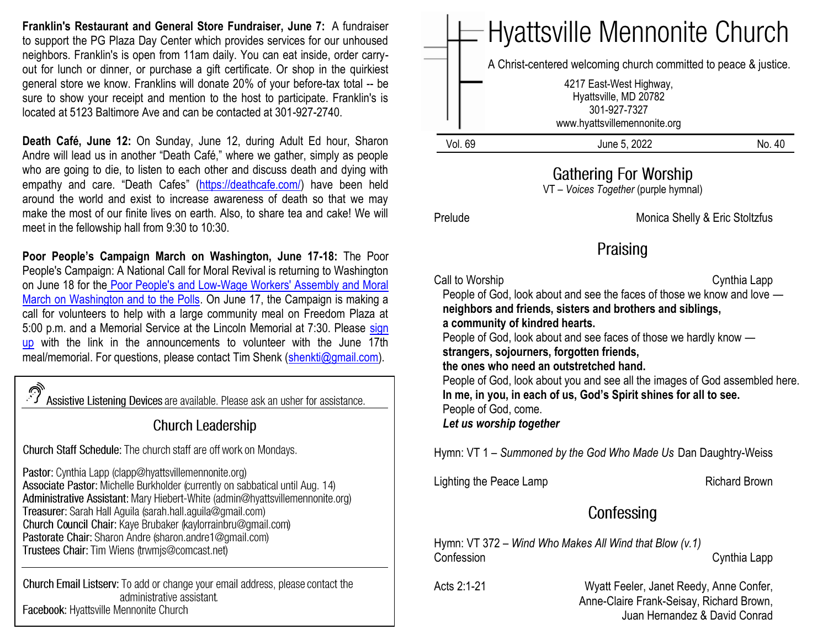**Franklin's Restaurant and General Store Fundraiser, June 7:** A fundraiser to support the PG Plaza Day Center which provides services for our unhoused neighbors. Franklin's is open from 11am daily. You can eat inside, order carryout for lunch or dinner, or purchase a gift certificate. Or shop in the quirkiest general store we know. Franklins will donate 20% of your before-tax total -- be sure to show your receipt and mention to the host to participate. Franklin's is located at 5123 Baltimore Ave and can be contacted at 301-927-2740.

**Death Café, June 12:** On Sunday, June 12, during Adult Ed hour, Sharon Andre will lead us in another "Death Café," where we gather, simply as people who are going to die, to listen to each other and discuss death and dying with empathy and care. "Death Cafes" ([https://deathcafe.com/\)](https://deathcafe.com/) have been held around the world and exist to increase awareness of death so that we may make the most of our finite lives on earth. Also, to share tea and cake! We will meet in the fellowship hall from 9:30 to 10:30.

**Poor People's Campaign March on Washington, June 17-18:** The Poor People's Campaign: A National Call for Moral Revival is returning to Washington on June 18 for the [Poor People's and Low-Wage Workers' Assembly and Moral](https://www.poorpeoplescampaign.org/june18/)  [March on Washington and to the Polls.](https://www.poorpeoplescampaign.org/june18/) On June 17, the Campaign is making a call for volunteers to help with a large community meal on Freedom Plaza at 5:00 p.m. and a Memorial Service at the Lincoln Memorial at 7:30. Please [sign](https://docs.google.com/forms/d/e/1FAIpQLSc4lTWjODdX_ayzBT-wenM388BV6HSf1X-IYGCYnEURhUiQfQ/viewform)  [up](https://docs.google.com/forms/d/e/1FAIpQLSc4lTWjODdX_ayzBT-wenM388BV6HSf1X-IYGCYnEURhUiQfQ/viewform) with the link in the announcements to volunteer with the June 17th meal/memorial. For questions, please contact Tim Shenk [\(shenkti@gmail.com\)](mailto:shenkti@gmail.com).

Assistive Listening Devices are available. Please ask an usher for assistance.

### **Church Leadership**

Church Staff Schedule: The church staff are off work on Mondays.

Pastor: Cynthia Lapp (clapp@hyattsvillemennonite.org) Associate Pastor: Michelle Burkholder (currently on sabbatical until Aug. 14) Administrative Assistant: Mary Hiebert-White (admin@hyattsvillemennonite.org) Treasurer: Sarah Hall Aguila (sarah.hall.aguila@gmail.com) Church Council Chair: Kaye Brubaker (kaylorrainbru@gmail.com) Pastorate Chair: Sharon Andre (sharon andre1@gmail.com) Trustees Chair: Tim Wiens (trwmjs@comcast.net)

Church Email Listserv: To add or change your email address, please contact the administrative assistant. Facebook: Hyattsville Mennonite Church

|                                                               | <b>Hyattsville Mennonite Church</b>                                                                                                                                                                                                                                                                                                                                                                                                                                                                                                        |                       |                                |  |
|---------------------------------------------------------------|--------------------------------------------------------------------------------------------------------------------------------------------------------------------------------------------------------------------------------------------------------------------------------------------------------------------------------------------------------------------------------------------------------------------------------------------------------------------------------------------------------------------------------------------|-----------------------|--------------------------------|--|
|                                                               | A Christ-centered welcoming church committed to peace & justice.<br>4217 East-West Highway,<br>301-927-7327<br>www.hyattsvillemennonite.org                                                                                                                                                                                                                                                                                                                                                                                                | Hyattsville, MD 20782 |                                |  |
| Vol. 69                                                       |                                                                                                                                                                                                                                                                                                                                                                                                                                                                                                                                            | June 5, 2022          | No. 40                         |  |
| Gathering For Worship<br>VT - Voices Together (purple hymnal) |                                                                                                                                                                                                                                                                                                                                                                                                                                                                                                                                            |                       |                                |  |
| Prelude                                                       |                                                                                                                                                                                                                                                                                                                                                                                                                                                                                                                                            |                       | Monica Shelly & Eric Stoltzfus |  |
| Praising                                                      |                                                                                                                                                                                                                                                                                                                                                                                                                                                                                                                                            |                       |                                |  |
| Call to Worship                                               | People of God, look about and see the faces of those we know and love -<br>neighbors and friends, sisters and brothers and siblings,<br>a community of kindred hearts.<br>People of God, look about and see faces of those we hardly know -<br>strangers, sojourners, forgotten friends,<br>the ones who need an outstretched hand.<br>People of God, look about you and see all the images of God assembled here.<br>In me, in you, in each of us, God's Spirit shines for all to see.<br>People of God, come.<br>Let us worship together |                       | Cynthia Lapp                   |  |
|                                                               | Hymn: VT 1 – Summoned by the God Who Made Us Dan Daughtry-Weiss                                                                                                                                                                                                                                                                                                                                                                                                                                                                            |                       |                                |  |
|                                                               | Lighting the Peace Lamp                                                                                                                                                                                                                                                                                                                                                                                                                                                                                                                    |                       | <b>Richard Brown</b>           |  |
| Confessing                                                    |                                                                                                                                                                                                                                                                                                                                                                                                                                                                                                                                            |                       |                                |  |
| Confession                                                    | Hymn: $VT$ 372 – Wind Who Makes All Wind that Blow $(v.1)$                                                                                                                                                                                                                                                                                                                                                                                                                                                                                 |                       | Cynthia Lapp                   |  |
|                                                               | Acts 2:1-21<br>Wyatt Feeler, Janet Reedy, Anne Confer,<br>Anne-Claire Frank-Seisay, Richard Brown,<br>Juan Hernandez & David Conrad                                                                                                                                                                                                                                                                                                                                                                                                        |                       |                                |  |